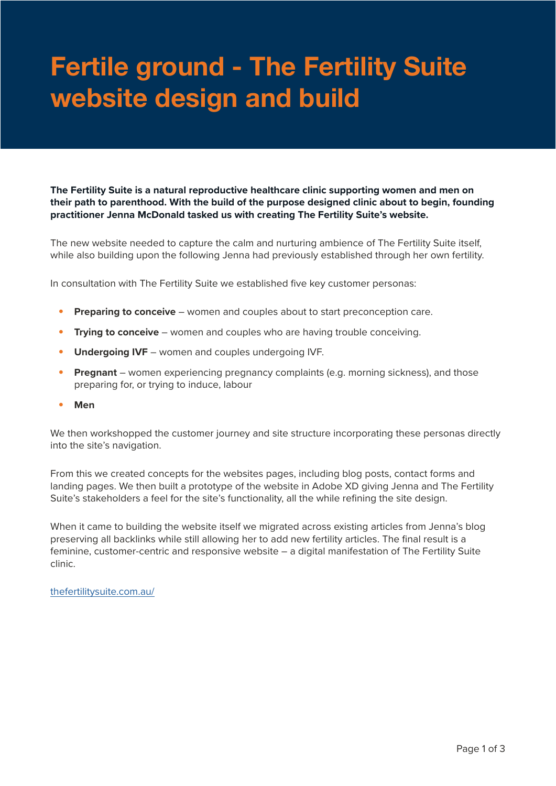## **Fertile ground - The Fertility Suite website design and build**

**The Fertility Suite is a natural reproductive healthcare clinic supporting women and men on their path to parenthood. With the build of the purpose designed clinic about to begin, founding practitioner Jenna McDonald tasked us with creating The Fertility Suite's website.**

The new website needed to capture the calm and nurturing ambience of The Fertility Suite itself, while also building upon the following Jenna had previously established through her own fertility.

In consultation with The Fertility Suite we established five key customer personas:

- **• Preparing to conceive** women and couples about to start preconception care.
- **• Trying to conceive** women and couples who are having trouble conceiving.
- **• Undergoing IVF** women and couples undergoing IVF.
- **• Pregnant** women experiencing pregnancy complaints (e.g. morning sickness), and those preparing for, or trying to induce, labour
- **• Men**

We then workshopped the customer journey and site structure incorporating these personas directly into the site's navigation.

From this we created concepts for the websites pages, including blog posts, contact forms and landing pages. We then built a prototype of the website in Adobe XD giving Jenna and The Fertility Suite's stakeholders a feel for the site's functionality, all the while refining the site design.

When it came to building the website itself we migrated across existing articles from Jenna's blog preserving all backlinks while still allowing her to add new fertility articles. The final result is a feminine, customer-centric and responsive website – a digital manifestation of The Fertility Suite clinic.

[thefertilitysuite.com.au/](https://thefertilitysuite.com.au/)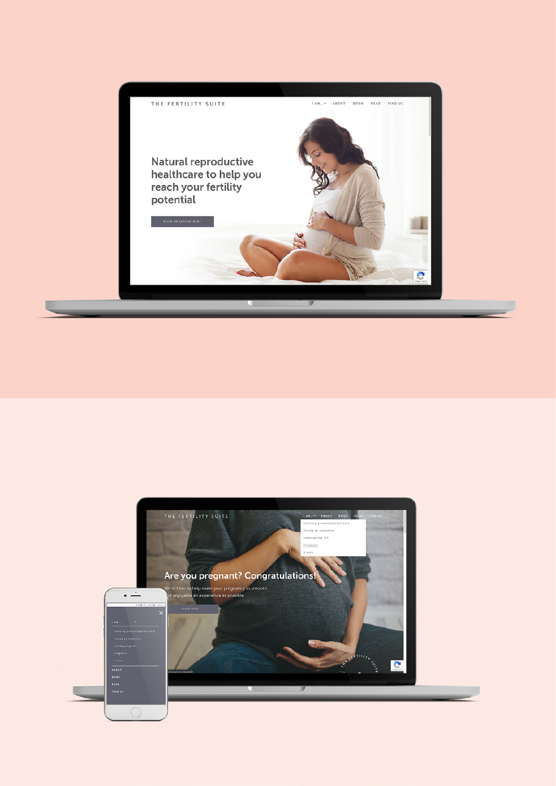